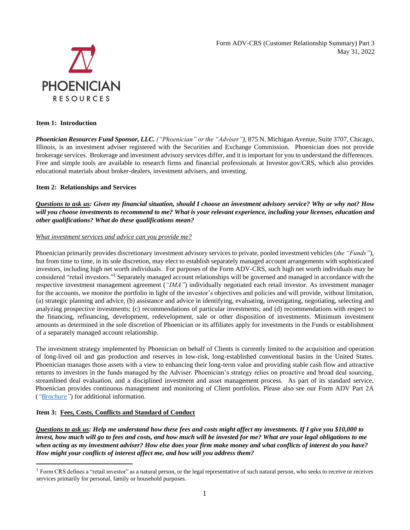Form ADV-CRS (Customer Relationship Summary) Part 3 May 31, 2022



## **Item 1: Introduction**

*Phoenician Resources Fund Sponsor, LLC. ("Phoenician" or the "Adviser")*, 875 N. Michigan Avenue, Suite 3707, Chicago, Illinois, is an investment adviser registered with the Securities and Exchange Commission. Phoenician does not provide brokerage services. Brokerage and investment advisory services differ, and it is important for you to understand the differences. Free and simple tools are available to research firms and financial professionals at Investor.gov/CRS, which also provides educational materials about broker-dealers, investment advisers, and investing.

## **Item 2: Relationships and Services**

*Questions to ask us: Given my financial situation, should I choose an investment advisory service? Why or why not? How will you choose investments to recommend to me? What is your relevant experience, including your licenses, education and other qualifications? What do these qualifications mean?*

## *What investment services and advice can you provide me?*

Phoenician primarily provides discretionary investment advisory services to private, pooled investment vehicles (*the "Funds"*), but from time to time, in its sole discretion, may elect to establish separately managed account arrangements with sophisticated investors, including high net worth individuals. For purposes of the Form ADV-CRS, such high net worth individuals may be considered "retail investors."<sup>1</sup> Separately managed account relationships will be governed and managed in accordance with the respective investment management agreement (*"IMA"*) individually negotiated each retail investor. As investment manager for the accounts, we monitor the portfolio in light of the investor's objectives and policies and will provide, without limitation, (a) strategic planning and advice, (b) assistance and advice in identifying, evaluating, investigating, negotiating, selecting and analyzing prospective investments; (c) recommendations of particular investments; and (d) recommendations with respect to the financing, refinancing, development, redevelopment, sale or other disposition of investments. Minimum investment amounts as determined in the sole discretion of Phoenician or its affiliates apply for investments in the Funds or establishment of a separately managed account relationship.

The investment strategy implemented by Phoenician on behalf of Clients is currently limited to the acquisition and operation of long-lived oil and gas production and reserves in low-risk, long-established conventional basins in the United States. Phoenician manages those assets with a view to enhancing their long-term value and providing stable cash flow and attractive returns to investors in the funds managed by the Adviser. Phoenician's strategy relies on proactive and broad deal sourcing, streamlined deal evaluation, and a disciplined investment and asset management process. As part of its standard service, Phoenician provides continuous management and monitoring of Client portfolios. Please also see our Form ADV Part 2A (*["Brochure"](https://files.adviserinfo.sec.gov/IAPD/Content/Common/crd_iapd_Brochure.aspx?BRCHR_VRSN_ID=634722)*) for additional information.

# **Item 3: Fees, Costs, Conflicts and Standard of Conduct**

*Questions to ask us: Help me understand how these fees and costs might affect my investments. If I give you \$10,000 to invest, how much will go to fees and costs, and how much will be invested for me? What are your legal obligations to me when acting as my investment adviser? How else does your firm make money and what conflicts of interest do you have? How might your conflicts of interest affect me, and how will you address them?*

 $<sup>1</sup>$  Form CRS defines a "retail investor" as a natural person, or the legal representative of such natural person, who seeks to receive or receives</sup> services primarily for personal, family or household purposes.